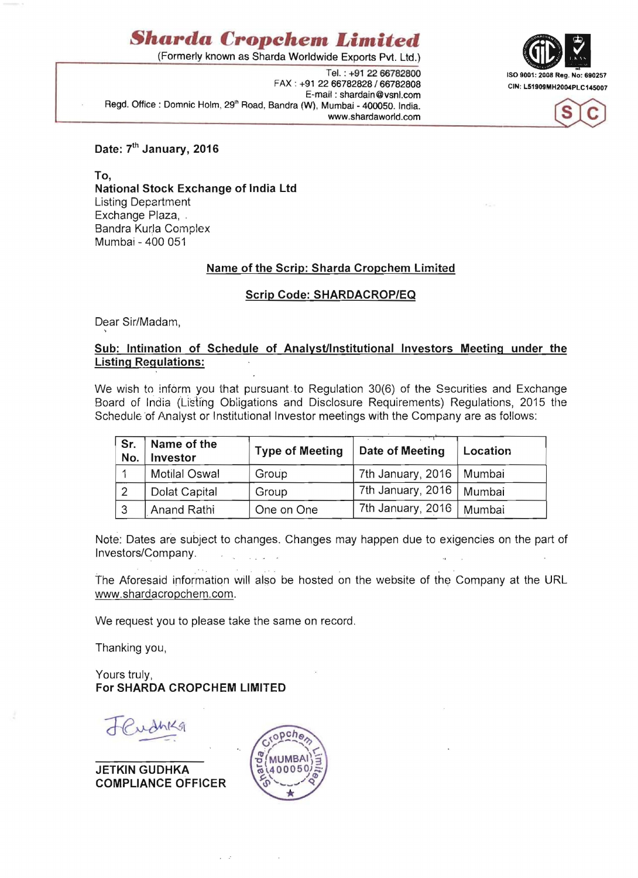# *Sharda* **Cropehem** *Limited*

(Formerly known as Sharda Worldwide Exports Pvt. Ltd.)

FAX: +91 22 66782828 / 66782808 CIN: L51909MH2004PLC145007 E-mail: shardain@vsnl.com Regd. Office: Domnic Holm, 29<sup>th</sup> Road, Bandra (W), Mumbai - 400050. India. www.shardaworld.com





Date: 7<sup>th</sup> January, 2016

To, National Stock Exchange of India Ltd Listing Department Exchange Plaza, . Bandra Kurla Complex Mumbai - 400 051

# Name of the Scrip: Sharda Cropchem Limited

# Scrip Code: SHARDACROP/EQ

Dear Sir/Madam, ,

### Sub: Intimation of Schedule of Analyst/Institutional Investors Meeting under the Listing Regulations:

We wish to inform you that pursuant to Regulation 30(6) of the Securities and Exchange Board of India (Listing Obligations and Disclosure Requirements) Regulations, 2015 the Schedule of Analyst or Institutional Investor meetings with the Company are as follows:

| Sr.<br>No. | Name of the<br>Investor | <b>Type of Meeting</b> | Date of Meeting            | Location |
|------------|-------------------------|------------------------|----------------------------|----------|
|            | <b>Motilal Oswal</b>    | Group                  | 7th January, 2016   Mumbai |          |
|            | Dolat Capital           | Group                  | 7th January, 2016   Mumbai |          |
| $\sim$     | Anand Rathi             | One on One             | 7th January, 2016          | Mumbai   |

Note: Dates are subject to changes. Changes may happen due to exigencies on the part of Investors/Com pany.

The Aforesaid information will also be hosted on the website of the Company at the URL www.shardacropchem.com.

We request you to please take the same on record.

Thanking you,

Yours truly, For SHARDA CROPCHEM LIMITED

JETKIN GUDHKA COMPLIANCE OFFICER